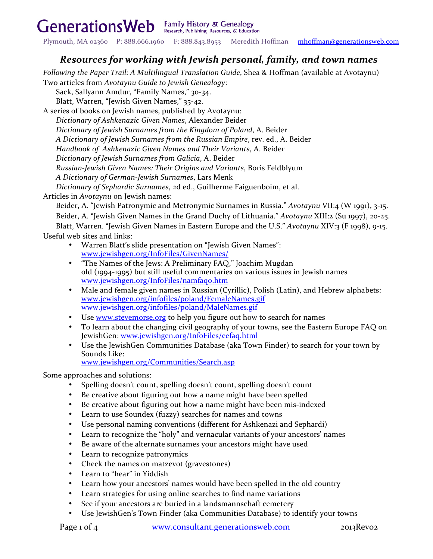Generations Web Family History & Genealogy

Plymouth, MA 02360 P: 888.666.1960 F: 888.843.8953 Meredith Hoffman mhoffman@generationsweb.com

# *Resources for working with Jewish personal, family, and town names*

*Following the Paper Trail: A Multilingual Translation Guide, Shea & Hoffman (available at Avotaynu)* 

Two articles from Avotaynu Guide to Jewish Genealogy:

Sack, Sallyann Amdur, "Family Names," 30-34.

Blatt, Warren, "Jewish Given Names," 35-42.

A series of books on Jewish names, published by Avotaynu: *Dictionary of Ashkenazic Given Names*, Alexander Beider *Dictionary of Jewish Surnames from the Kingdom of Poland*, A. Beider *A Dictionary of Jewish Surnames from the Russian Empire*, rev. ed., A. Beider *Handbook of Ashkenazic Given Names and Their Variants*, A. Beider *Dictionary of Jewish Surnames from Galicia*, A. Beider *Russian-Jewish Given Names: Their Origins and Variants*, Boris Feldblyum *A Dictionary of German-Jewish Surnames*, Lars Menk *Dictionary of Sephardic Surnames*, 2d ed., Guilherme Faiguenboim, et al.

Articles in *Avotaynu* on Jewish names:

Beider, A. "Jewish Patronymic and Metronymic Surnames in Russia." *Avotaynu VII:4* (W 1991), 3-15. Beider, A. "Jewish Given Names in the Grand Duchy of Lithuania." *Avotaynu XIII:2* (Su 1997), 20-25. Blatt, Warren. "Jewish Given Names in Eastern Europe and the U.S." *Avotaynu XIV*:3 (F 1998), 9-15. Useful web sites and links:

Warren Blatt's slide presentation on "Jewish Given Names":

- www.jewishgen.org/InfoFiles/GivenNames/
- "The Names of the Jews: A Preliminary FAQ," Joachim Mugdan old (1994-1995) but still useful commentaries on various issues in Jewish names www.jewishgen.org/InfoFiles/namfaq0.htm
- Male and female given names in Russian (Cyrillic), Polish (Latin), and Hebrew alphabets: www.jewishgen.org/infofiles/poland/FemaleNames.gif www.jewishgen.org/infofiles/poland/MaleNames.gif
- Use www.stevemorse.org to help you figure out how to search for names
- To learn about the changing civil geography of your towns, see the Eastern Europe FAQ on JewishGen: www.jewishgen.org/InfoFiles/eefaq.html
- Use the JewishGen Communities Database (aka Town Finder) to search for your town by Sounds Like:

www.jewishgen.org/Communities/Search.asp

Some approaches and solutions:

- Spelling doesn't count, spelling doesn't count, spelling doesn't count
- Be creative about figuring out how a name might have been spelled
- Be creative about figuring out how a name might have been mis-indexed
- Learn to use Soundex (fuzzy) searches for names and towns
- Use personal naming conventions (different for Ashkenazi and Sephardi)
- Learn to recognize the "holy" and vernacular variants of your ancestors' names
- Be aware of the alternate surnames your ancestors might have used
- Learn to recognize patronymics
- Check the names on matzevot (gravestones)
- Learn to "hear" in Yiddish
- Learn how your ancestors' names would have been spelled in the old country
- Learn strategies for using online searches to find name variations
- See if your ancestors are buried in a landsmannschaft cemetery
- Use JewishGen's Town Finder (aka Communities Database) to identify your towns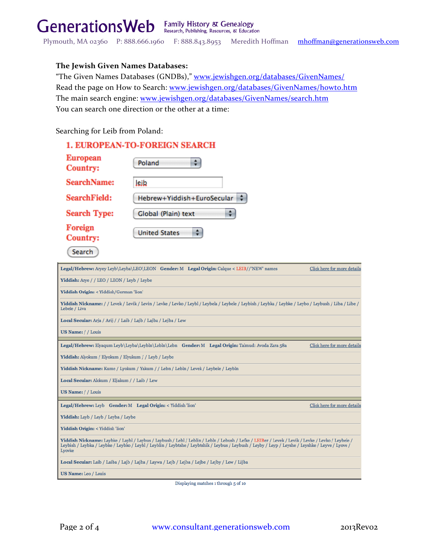Plymouth, MA 02360 P: 888.666.1960 F: 888.843.8953 Meredith Hoffman mhoffman@generationsweb.com

## **The Jewish Given Names Databases:**

"The Given Names Databases (GNDBs)," www.jewishgen.org/databases/GivenNames/ Read the page on How to Search: www.jewishgen.org/databases/GivenNames/howto.htm The main search engine: www.jewishgen.org/databases/GivenNames/search.htm You can search one direction or the other at a time:

Searching for Leib from Poland:

(Search)

| <b>1. EUROPEAN-TO-FOREIGN SEARCH</b> |
|--------------------------------------|
| Poland                               |
| lejb                                 |
| Hebrew+Yiddish+EuroSecular           |
| Global (Plain) text                  |
| <b>United States</b>                 |
|                                      |

| Legal/Hebrew: Aryey Leyb\Leyba\LEO\LEON Gender: M Legal Origin: Calque < LEIB//'NEW' names<br>Click here for more details                                                                                                                                                                                         |  |  |  |  |
|-------------------------------------------------------------------------------------------------------------------------------------------------------------------------------------------------------------------------------------------------------------------------------------------------------------------|--|--|--|--|
| Yiddish: Arye / / LEO / LEON / Leyb / Leybe                                                                                                                                                                                                                                                                       |  |  |  |  |
| Yiddish Origin: < Yiddish/German 'lion'                                                                                                                                                                                                                                                                           |  |  |  |  |
| Yiddish Nickname: // Levek/Levik/Levin/Levke/Levko/Leybl/Leybela/Leybele/Leybish/Leybka/Leybke/Leybo/Leybush/Liba/Libe/<br>Lebele / Liva                                                                                                                                                                          |  |  |  |  |
| Local Secular: Arja / Arij / / Laib / Lajb / Lajba / Lejba / Lew                                                                                                                                                                                                                                                  |  |  |  |  |
| US Name: / / Louis                                                                                                                                                                                                                                                                                                |  |  |  |  |
| Legal/Hebrew: Elyaqum Leyb\Leyba\Leybln\Lebln\Lebn Gender: M Legal Origin: Talmud: Avoda Zara 58a<br>Click here for more details                                                                                                                                                                                  |  |  |  |  |
| Yiddish: Alyokum / Elyokum / Elyukum / / Leyb / Leybe                                                                                                                                                                                                                                                             |  |  |  |  |
| Yiddish Nickname: Kume / Lyokum / Yakum / / Lebn / Lebln / Levek / Leybele / Leybln                                                                                                                                                                                                                               |  |  |  |  |
| Local Secular: Alokum / Eljakum / / Laib / Lew                                                                                                                                                                                                                                                                    |  |  |  |  |
| US Name: / / Louis                                                                                                                                                                                                                                                                                                |  |  |  |  |
| Legal/Hebrew: Leyb Gender: M Legal Origin: < Yiddish 'lion'<br>Click here for more details                                                                                                                                                                                                                        |  |  |  |  |
| Yiddish: Layb / Leyb / Leyba / Leybe                                                                                                                                                                                                                                                                              |  |  |  |  |
| Yiddish Origin: < Yiddish 'lion'                                                                                                                                                                                                                                                                                  |  |  |  |  |
| Viddish Nickname: Laybke / Laybl / Laybus / Laybush / Lebl / Leblin / Lebln / Lebush / Lefke / LEIBer / Levek / Levik / Levke / Levko / Leybele /<br>Leybish / Leybka / Leybke / Leybko / Leybl / Leyblin / Leybtshe / Leybtshik / Leybus / Leybush / Leyby / Leyp / Leyshe / Leyshke / Leyve / Lyove /<br>Lyovke |  |  |  |  |
| Local Secular: Laib / Laiba / Lajb / Lajba / Laywa / Lejb / Lejba / Lejbe / Lejby / Lew / Lijba                                                                                                                                                                                                                   |  |  |  |  |
| US Name: Leo / Louis                                                                                                                                                                                                                                                                                              |  |  |  |  |

Displaying matches 1 through 5 of 10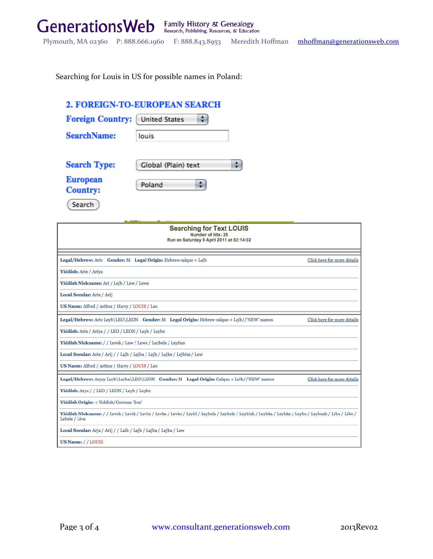Searching for Louis in US for possible names in Poland:

# 2. FOREIGN-TO-EUROPEAN SEARCH

| <b>Foreign Country:</b>            | <b>United States</b> |
|------------------------------------|----------------------|
| <b>SearchName:</b>                 | louis                |
| <b>Search Type:</b>                | Global (Plain) text  |
| <b>European</b><br><b>Country:</b> | Poland               |
| Search                             |                      |

| <b>Searching for Text LOUIS</b><br>Number of hits: 25<br>Run on Saturday 9 April 2011 at 02:14:02                                                                     |                             |  |
|-----------------------------------------------------------------------------------------------------------------------------------------------------------------------|-----------------------------|--|
| Legal/Hebrew: Arie Gender: M Legal Origin: Hebrew calque < Lejb                                                                                                       | Click here for more details |  |
| Yiddish: Arie / Ariya                                                                                                                                                 |                             |  |
| Yiddish Nickname: Ari / Lejb / Lew / Lewe                                                                                                                             |                             |  |
| Local Secular: Arie / Arij                                                                                                                                            |                             |  |
| US Name: Alfred / Arthur / Harry / LOUIS / Leo                                                                                                                        |                             |  |
| Legal/Hebrew: Arie Leyb\LEO\LEON Gender: M Legal Origin: Hebrew calque < Lejb//'NEW' names                                                                            | Click here for more details |  |
| Yiddish: Arie / Ariya / / LEO / LEON / Leyb / Leybe                                                                                                                   |                             |  |
| Yiddish Nickname: / / Levek / Lew / Lewe / Leybele / Leybus                                                                                                           |                             |  |
| Local Secular: Arie / Arij / / Lajb / Lajba / Lejb / Lejba / Lejbisz / Lew                                                                                            |                             |  |
| US Name: Alfred / Arthur / Harry / LOUIS / Leo                                                                                                                        |                             |  |
| Legal/Hebrew: Aryey Leyb\Leyba\LEO\LEON Gender: M Legal Origin: Calque < Leib//'NEW' names                                                                            | Click here for more details |  |
| Yiddish: Arye / / LEO / LEON / Leyb / Leybe                                                                                                                           |                             |  |
| Yiddish Origin: < Yiddish/German 'lion'                                                                                                                               |                             |  |
| Viddish Nickname: // Levek / Levik / Levin / Levke / Levko / Leybl / Leybela / Leybele / Leybish / Leybka / Leybke / Leybo / Leybush / Liba / Libe /<br>Lebele / Liva |                             |  |
| Local Secular: Arja / Arij / / Laib / Lajb / Lajba / Lejba / Lew                                                                                                      |                             |  |
| US Name: / / LOUIS                                                                                                                                                    |                             |  |